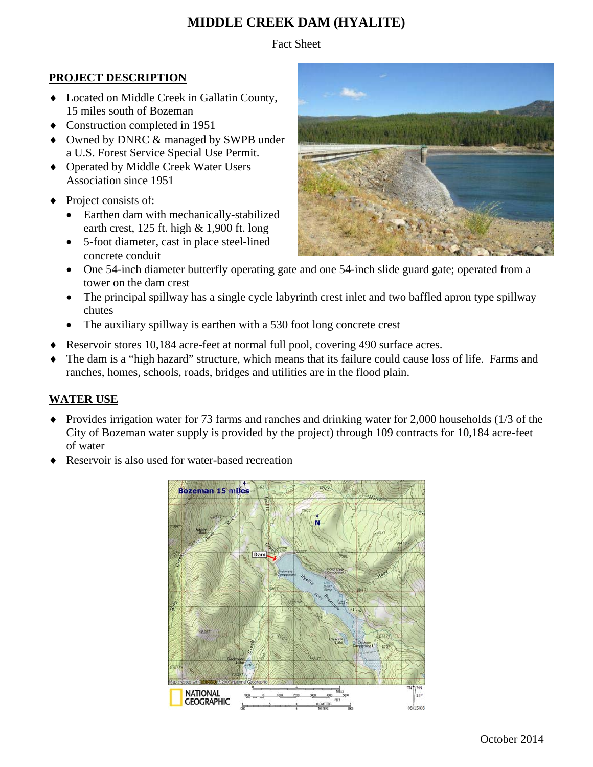# **MIDDLE CREEK DAM (HYALITE)**

Fact Sheet

#### **PROJECT DESCRIPTION**

- Located on Middle Creek in Gallatin County, 15 miles south of Bozeman
- Construction completed in 1951
- ◆ Owned by DNRC & managed by SWPB under a U.S. Forest Service Special Use Permit.
- ◆ Operated by Middle Creek Water Users Association since 1951
- Project consists of:
	- Earthen dam with mechanically-stabilized earth crest,  $125$  ft. high  $& 1,900$  ft. long
	- 5-foot diameter, cast in place steel-lined concrete conduit
	- One 54-inch diameter butterfly operating gate and one 54-inch slide guard gate; operated from a tower on the dam crest
	- The principal spillway has a single cycle labyrinth crest inlet and two baffled apron type spillway chutes
	- The auxiliary spillway is earthen with a 530 foot long concrete crest
- Reservoir stores 10,184 acre-feet at normal full pool, covering 490 surface acres.
- The dam is a "high hazard" structure, which means that its failure could cause loss of life. Farms and ranches, homes, schools, roads, bridges and utilities are in the flood plain.

## **WATER USE**

- Provides irrigation water for 73 farms and ranches and drinking water for 2,000 households (1/3 of the City of Bozeman water supply is provided by the project) through 109 contracts for 10,184 acre-feet of water
- Reservoir is also used for water-based recreation